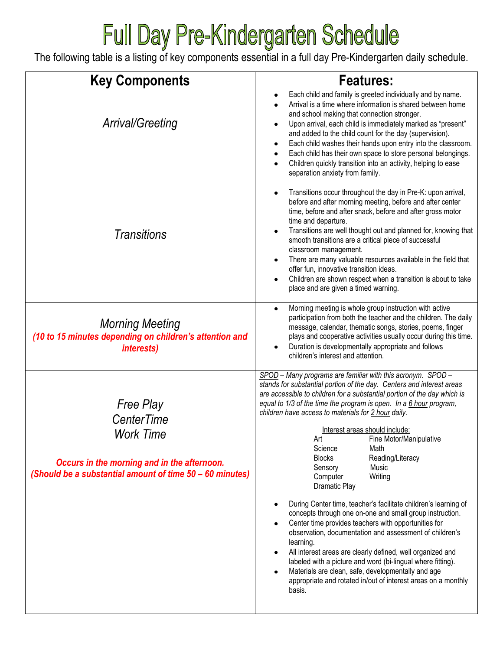## Full Day Pre-Kindergarten Schedule

The following table is a listing of key components essential in a full day Pre-Kindergarten daily schedule.

| <b>Key Components</b>                                                                                                                                                | <b>Features:</b>                                                                                                                                                                                                                                                                                                                                                                                                                                                                                                                                                                                                                                                                                                                                                                                                                                                                                                                                                                                                                                                                                                       |
|----------------------------------------------------------------------------------------------------------------------------------------------------------------------|------------------------------------------------------------------------------------------------------------------------------------------------------------------------------------------------------------------------------------------------------------------------------------------------------------------------------------------------------------------------------------------------------------------------------------------------------------------------------------------------------------------------------------------------------------------------------------------------------------------------------------------------------------------------------------------------------------------------------------------------------------------------------------------------------------------------------------------------------------------------------------------------------------------------------------------------------------------------------------------------------------------------------------------------------------------------------------------------------------------------|
| <b>Arrival/Greeting</b>                                                                                                                                              | Each child and family is greeted individually and by name.<br>$\bullet$<br>Arrival is a time where information is shared between home<br>$\bullet$<br>and school making that connection stronger.<br>Upon arrival, each child is immediately marked as "present"<br>٠<br>and added to the child count for the day (supervision).<br>Each child washes their hands upon entry into the classroom.<br>٠<br>Each child has their own space to store personal belongings.<br>Children quickly transition into an activity, helping to ease<br>separation anxiety from family.                                                                                                                                                                                                                                                                                                                                                                                                                                                                                                                                              |
| Transitions                                                                                                                                                          | Transitions occur throughout the day in Pre-K: upon arrival,<br>$\bullet$<br>before and after morning meeting, before and after center<br>time, before and after snack, before and after gross motor<br>time and departure.<br>Transitions are well thought out and planned for, knowing that<br>$\bullet$<br>smooth transitions are a critical piece of successful<br>classroom management.<br>There are many valuable resources available in the field that<br>$\bullet$<br>offer fun, innovative transition ideas.<br>Children are shown respect when a transition is about to take<br>$\bullet$<br>place and are given a timed warning.                                                                                                                                                                                                                                                                                                                                                                                                                                                                            |
| <b>Morning Meeting</b><br>(10 to 15 minutes depending on children's attention and<br><i>interests)</i>                                                               | Morning meeting is whole group instruction with active<br>$\bullet$<br>participation from both the teacher and the children. The daily<br>message, calendar, thematic songs, stories, poems, finger<br>plays and cooperative activities usually occur during this time.<br>Duration is developmentally appropriate and follows<br>$\bullet$<br>children's interest and attention.                                                                                                                                                                                                                                                                                                                                                                                                                                                                                                                                                                                                                                                                                                                                      |
| <b>Free Play</b><br><b>CenterTime</b><br><b>Work Time</b><br>Occurs in the morning and in the afternoon.<br>(Should be a substantial amount of time 50 - 60 minutes) | SPOD - Many programs are familiar with this acronym. SPOD -<br>stands for substantial portion of the day. Centers and interest areas<br>are accessible to children for a substantial portion of the day which is<br>equal to 1/3 of the time the program is open. In a 6 hour program,<br>children have access to materials for 2 hour daily.<br>Interest areas should include:<br>Fine Motor/Manipulative<br>Art<br>Science<br>Math<br><b>Blocks</b><br>Reading/Literacy<br>Music<br>Sensory<br>Computer<br>Writing<br>Dramatic Play<br>During Center time, teacher's facilitate children's learning of<br>$\bullet$<br>concepts through one on-one and small group instruction.<br>Center time provides teachers with opportunities for<br>$\bullet$<br>observation, documentation and assessment of children's<br>learning.<br>All interest areas are clearly defined, well organized and<br>$\bullet$<br>labeled with a picture and word (bi-lingual where fitting).<br>Materials are clean, safe, developmentally and age<br>$\bullet$<br>appropriate and rotated in/out of interest areas on a monthly<br>basis. |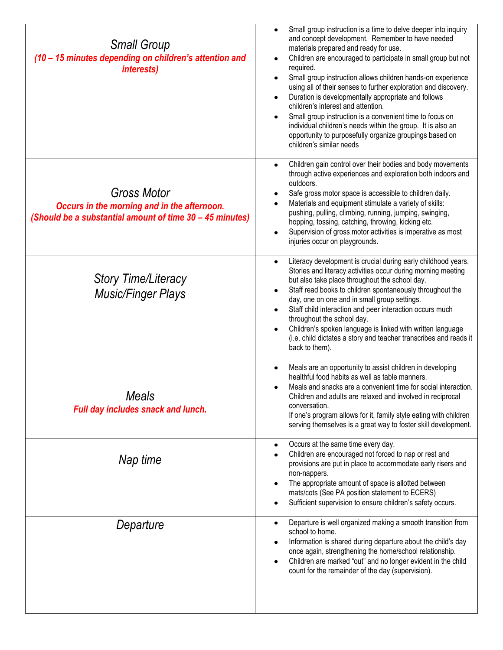| <b>Small Group</b><br>(10 - 15 minutes depending on children's attention and<br><i>interests)</i>                             | Small group instruction is a time to delve deeper into inquiry<br>and concept development. Remember to have needed<br>materials prepared and ready for use.<br>Children are encouraged to participate in small group but not<br>$\bullet$<br>required.<br>Small group instruction allows children hands-on experience<br>$\bullet$<br>using all of their senses to further exploration and discovery.<br>Duration is developmentally appropriate and follows<br>$\bullet$<br>children's interest and attention.<br>Small group instruction is a convenient time to focus on<br>$\bullet$<br>individual children's needs within the group. It is also an<br>opportunity to purposefully organize groupings based on<br>children's similar needs |
|-------------------------------------------------------------------------------------------------------------------------------|------------------------------------------------------------------------------------------------------------------------------------------------------------------------------------------------------------------------------------------------------------------------------------------------------------------------------------------------------------------------------------------------------------------------------------------------------------------------------------------------------------------------------------------------------------------------------------------------------------------------------------------------------------------------------------------------------------------------------------------------|
| <b>Gross Motor</b><br>Occurs in the morning and in the afternoon.<br>(Should be a substantial amount of time 30 - 45 minutes) | Children gain control over their bodies and body movements<br>$\bullet$<br>through active experiences and exploration both indoors and<br>outdoors.<br>Safe gross motor space is accessible to children daily.<br>$\bullet$<br>Materials and equipment stimulate a variety of skills:<br>$\bullet$<br>pushing, pulling, climbing, running, jumping, swinging,<br>hopping, tossing, catching, throwing, kicking etc.<br>Supervision of gross motor activities is imperative as most<br>$\bullet$<br>injuries occur on playgrounds.                                                                                                                                                                                                              |
| <b>Story Time/Literacy</b><br><b>Music/Finger Plays</b>                                                                       | Literacy development is crucial during early childhood years.<br>$\bullet$<br>Stories and literacy activities occur during morning meeting<br>but also take place throughout the school day.<br>Staff read books to children spontaneously throughout the<br>$\bullet$<br>day, one on one and in small group settings.<br>Staff child interaction and peer interaction occurs much<br>$\bullet$<br>throughout the school day.<br>Children's spoken language is linked with written language<br>(i.e. child dictates a story and teacher transcribes and reads it<br>back to them).                                                                                                                                                             |
| <b>Meals</b><br>Full day includes snack and lunch.                                                                            | Meals are an opportunity to assist children in developing<br>$\bullet$<br>healthful food habits as well as table manners.<br>Meals and snacks are a convenient time for social interaction.<br>$\bullet$<br>Children and adults are relaxed and involved in reciprocal<br>conversation.<br>If one's program allows for it, family style eating with children<br>serving themselves is a great way to foster skill development.                                                                                                                                                                                                                                                                                                                 |
| Nap time                                                                                                                      | Occurs at the same time every day.<br>$\bullet$<br>Children are encouraged not forced to nap or rest and<br>$\bullet$<br>provisions are put in place to accommodate early risers and<br>non-nappers.<br>The appropriate amount of space is allotted between<br>$\bullet$<br>mats/cots (See PA position statement to ECERS)<br>Sufficient supervision to ensure children's safety occurs.<br>$\bullet$                                                                                                                                                                                                                                                                                                                                          |
| Departure                                                                                                                     | Departure is well organized making a smooth transition from<br>$\bullet$<br>school to home.<br>Information is shared during departure about the child's day<br>$\bullet$<br>once again, strengthening the home/school relationship.<br>Children are marked "out" and no longer evident in the child<br>$\bullet$<br>count for the remainder of the day (supervision).                                                                                                                                                                                                                                                                                                                                                                          |